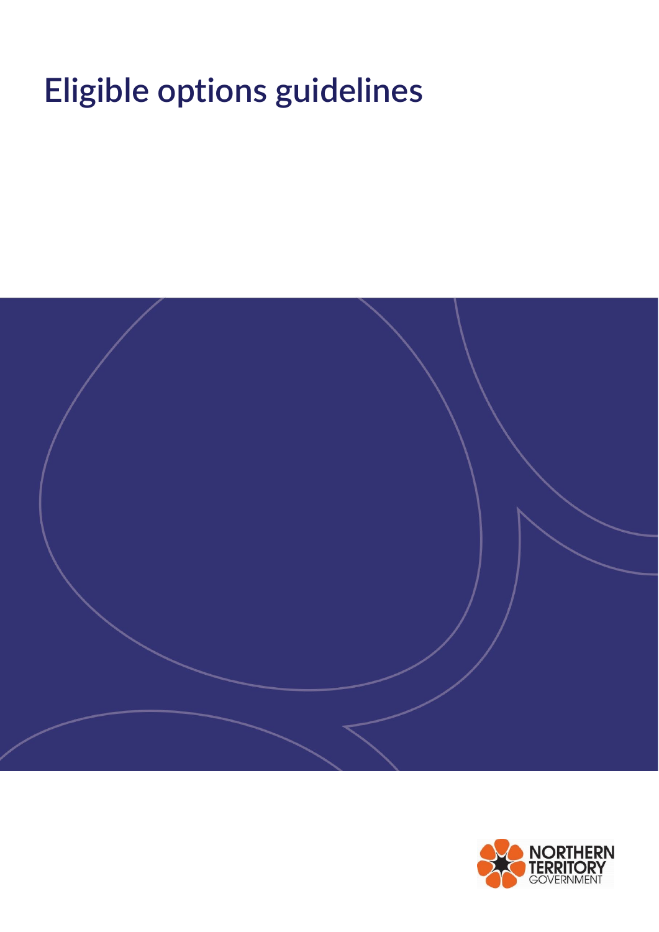# **Eligible options guidelines**



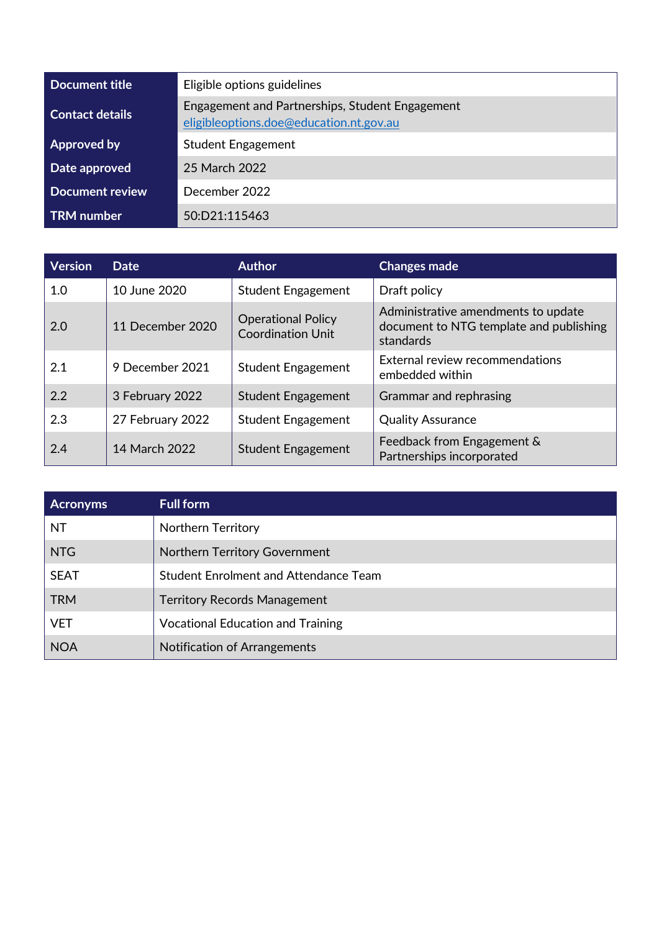| Document title         | Eligible options guidelines                                                                |  |
|------------------------|--------------------------------------------------------------------------------------------|--|
| <b>Contact details</b> | Engagement and Partnerships, Student Engagement<br>eligibleoptions.doe@education.nt.gov.au |  |
| Approved by            | <b>Student Engagement</b>                                                                  |  |
| Date approved          | 25 March 2022                                                                              |  |
| <b>Document review</b> | December 2022                                                                              |  |
| TRM number             | 50:D21:115463                                                                              |  |

| <b>Version</b> | <b>Date</b>      | <b>Author</b>                                         | <b>Changes made</b>                                                                         |
|----------------|------------------|-------------------------------------------------------|---------------------------------------------------------------------------------------------|
| 1.0            | 10 June 2020     | <b>Student Engagement</b>                             | Draft policy                                                                                |
| 2.0            | 11 December 2020 | <b>Operational Policy</b><br><b>Coordination Unit</b> | Administrative amendments to update<br>document to NTG template and publishing<br>standards |
| 2.1            | 9 December 2021  | <b>Student Engagement</b>                             | External review recommendations<br>embedded within                                          |
| 2.2            | 3 February 2022  | <b>Student Engagement</b>                             | Grammar and rephrasing                                                                      |
| 2.3            | 27 February 2022 | <b>Student Engagement</b>                             | <b>Quality Assurance</b>                                                                    |
| 2.4            | 14 March 2022    | <b>Student Engagement</b>                             | Feedback from Engagement &<br>Partnerships incorporated                                     |

| <b>Acronyms</b> | <b>Full form</b>                             |
|-----------------|----------------------------------------------|
| <b>NT</b>       | Northern Territory                           |
| <b>NTG</b>      | <b>Northern Territory Government</b>         |
| <b>SEAT</b>     | <b>Student Enrolment and Attendance Team</b> |
| <b>TRM</b>      | <b>Territory Records Management</b>          |
| <b>VET</b>      | <b>Vocational Education and Training</b>     |
| <b>NOA</b>      | Notification of Arrangements                 |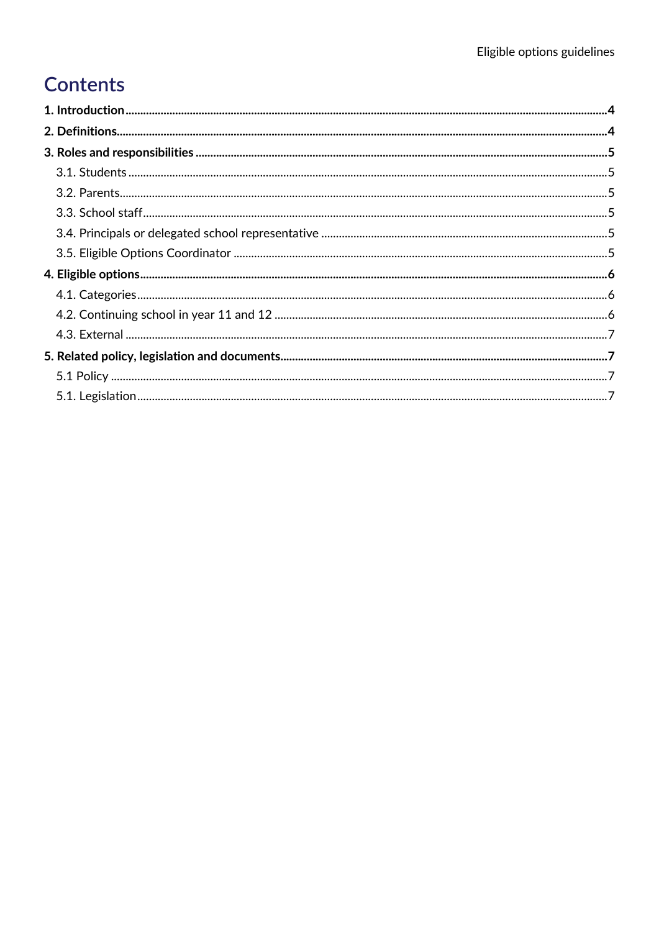# **Contents**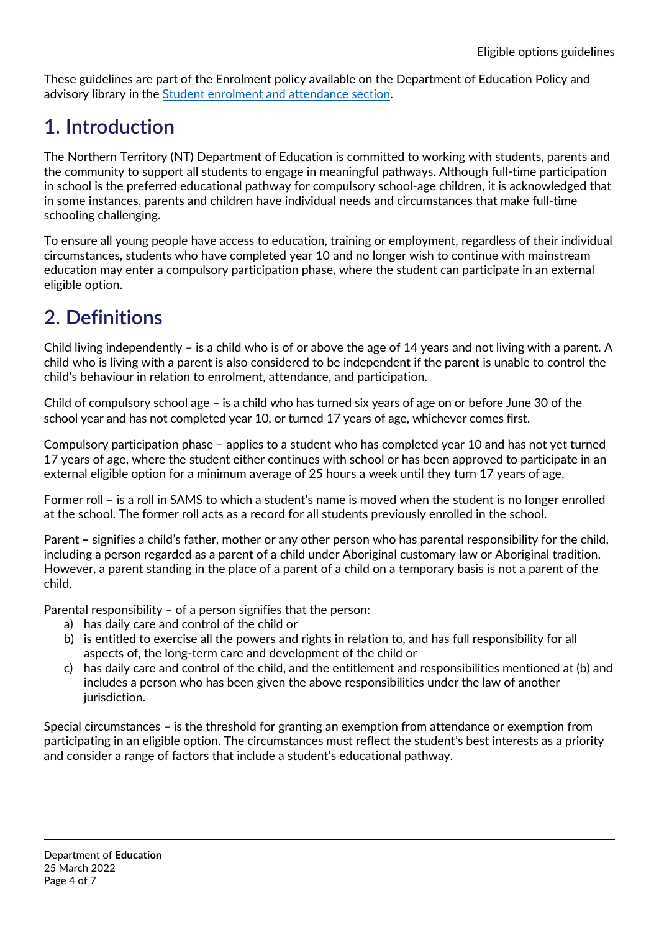These guidelines are part of the Enrolment policy available on the Department of Education Policy and advisory library in the [Student enrolment and attendance section.](https://education.nt.gov.au/policies/student-enrolment)

## <span id="page-3-0"></span>**1. Introduction**

The Northern Territory (NT) Department of Education is committed to working with students, parents and the community to support all students to engage in meaningful pathways. Although full-time participation in school is the preferred educational pathway for compulsory school-age children, it is acknowledged that in some instances, parents and children have individual needs and circumstances that make full-time schooling challenging.

To ensure all young people have access to education, training or employment, regardless of their individual circumstances, students who have completed year 10 and no longer wish to continue with mainstream education may enter a compulsory participation phase, where the student can participate in an external eligible option.

# <span id="page-3-1"></span>**2. Definitions**

Child living independently – is a child who is of or above the age of 14 years and not living with a parent. A child who is living with a parent is also considered to be independent if the parent is unable to control the child's behaviour in relation to enrolment, attendance, and participation.

Child of compulsory school age – is a child who has turned six years of age on or before June 30 of the school year and has not completed year 10, or turned 17 years of age, whichever comes first.

Compulsory participation phase – applies to a student who has completed year 10 and has not yet turned 17 years of age, where the student either continues with school or has been approved to participate in an external eligible option for a minimum average of 25 hours a week until they turn 17 years of age.

Former roll – is a roll in SAMS to which a student's name is moved when the student is no longer enrolled at the school. The former roll acts as a record for all students previously enrolled in the school.

Parent **–** signifies a child's father, mother or any other person who has parental responsibility for the child, including a person regarded as a parent of a child under Aboriginal customary law or Aboriginal tradition. However, a parent standing in the place of a parent of a child on a temporary basis is not a parent of the child.

Parental responsibility – of a person signifies that the person:

- a) has daily care and control of the child or
- b) is entitled to exercise all the powers and rights in relation to, and has full responsibility for all aspects of, the long-term care and development of the child or
- c) has daily care and control of the child, and the entitlement and responsibilities mentioned at (b) and includes a person who has been given the above responsibilities under the law of another jurisdiction.

Special circumstances – is the threshold for granting an exemption from attendance or exemption from participating in an eligible option. The circumstances must reflect the student's best interests as a priority and consider a range of factors that include a student's educational pathway.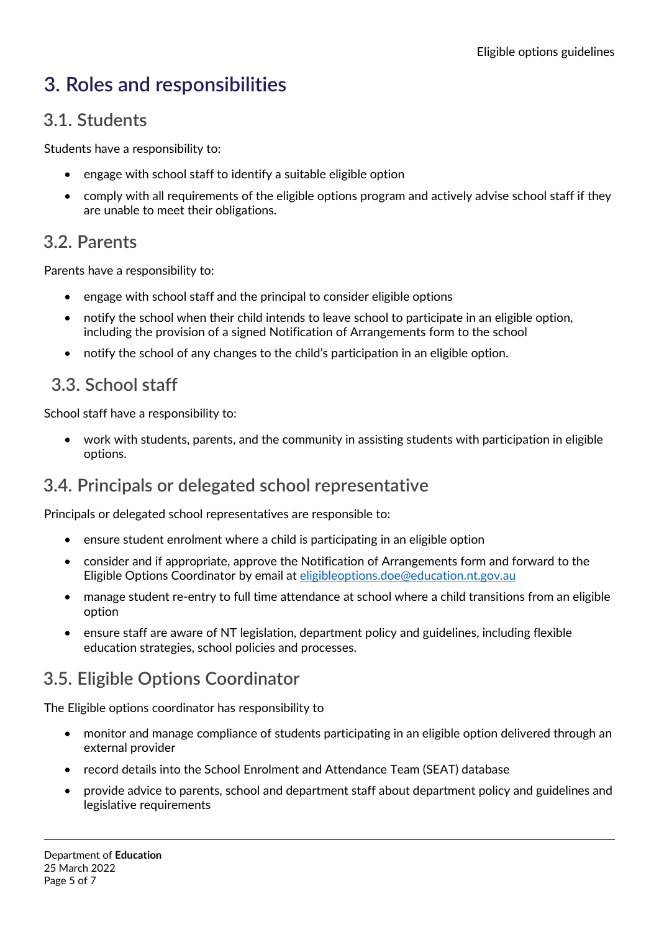# <span id="page-4-0"></span>**3. Roles and responsibilities**

#### <span id="page-4-1"></span>**3.1. Students**

Students have a responsibility to:

- engage with school staff to identify a suitable eligible option
- comply with all requirements of the eligible options program and actively advise school staff if they are unable to meet their obligations.

### <span id="page-4-2"></span>**3.2. Parents**

Parents have a responsibility to:

- engage with school staff and the principal to consider eligible options
- notify the school when their child intends to leave school to participate in an eligible option, including the provision of a signed Notification of Arrangements form to the school
- notify the school of any changes to the child's participation in an eligible option.

#### <span id="page-4-3"></span>**3.3. School staff**

School staff have a responsibility to:

• work with students, parents, and the community in assisting students with participation in eligible options.

## <span id="page-4-4"></span>**3.4. Principals or delegated school representative**

Principals or delegated school representatives are responsible to:

- ensure student enrolment where a child is participating in an eligible option
- consider and if appropriate, approve the Notification of Arrangements form and forward to the Eligible Options Coordinator by email at [eligibleoptions.doe@education.nt.gov.au](mailto:eligibleoptions.doe@education.nt.gov.au)
- manage student re-entry to full time attendance at school where a child transitions from an eligible option
- ensure staff are aware of NT legislation, department policy and guidelines, including flexible education strategies, school policies and processes.

## <span id="page-4-5"></span>**3.5. Eligible Options Coordinator**

The Eligible options coordinator has responsibility to

- monitor and manage compliance of students participating in an eligible option delivered through an external provider
- record details into the School Enrolment and Attendance Team (SEAT) database
- provide advice to parents, school and department staff about department policy and guidelines and legislative requirements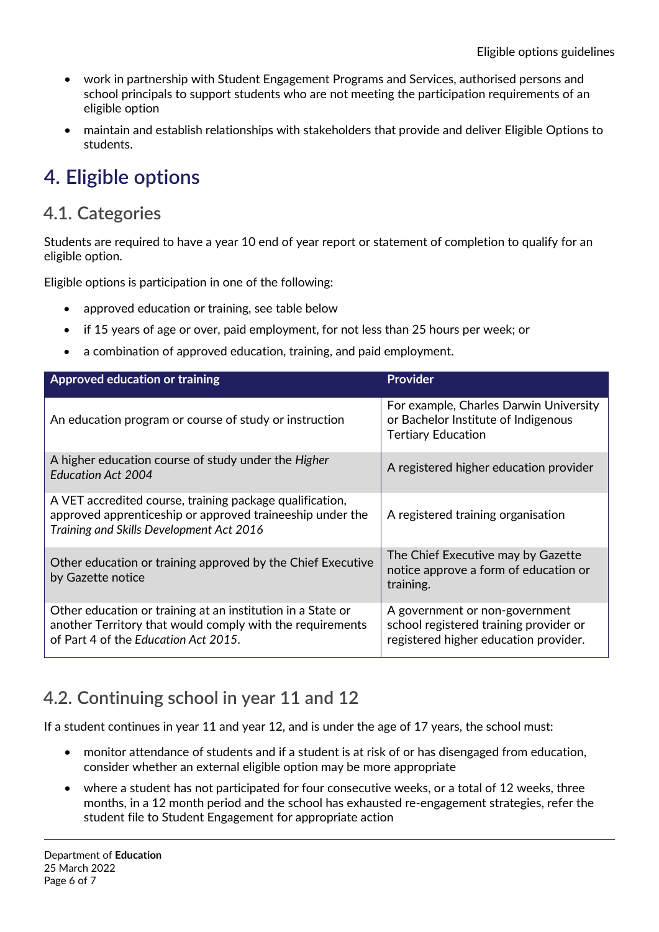- work in partnership with Student Engagement Programs and Services, authorised persons and school principals to support students who are not meeting the participation requirements of an eligible option
- maintain and establish relationships with stakeholders that provide and deliver Eligible Options to students.

## <span id="page-5-0"></span>**4. Eligible options**

#### <span id="page-5-1"></span>**4.1. Categories**

Students are required to have a year 10 end of year report or statement of completion to qualify for an eligible option.

Eligible options is participation in one of the following:

- approved education or training, see table below
- if 15 years of age or over, paid employment, for not less than 25 hours per week; or
- a combination of approved education, training, and paid employment.

| Approved education or training                                                                                                                                    | <b>Provider</b>                                                                                                   |  |
|-------------------------------------------------------------------------------------------------------------------------------------------------------------------|-------------------------------------------------------------------------------------------------------------------|--|
| An education program or course of study or instruction                                                                                                            | For example, Charles Darwin University<br>or Bachelor Institute of Indigenous<br><b>Tertiary Education</b>        |  |
| A higher education course of study under the Higher<br><b>Education Act 2004</b>                                                                                  | A registered higher education provider                                                                            |  |
| A VET accredited course, training package qualification,<br>approved apprenticeship or approved traineeship under the<br>Training and Skills Development Act 2016 | A registered training organisation                                                                                |  |
| Other education or training approved by the Chief Executive<br>by Gazette notice                                                                                  | The Chief Executive may by Gazette<br>notice approve a form of education or<br>training.                          |  |
| Other education or training at an institution in a State or<br>another Territory that would comply with the requirements<br>of Part 4 of the Education Act 2015.  | A government or non-government<br>school registered training provider or<br>registered higher education provider. |  |

## <span id="page-5-2"></span>**4.2. Continuing school in year 11 and 12**

If a student continues in year 11 and year 12, and is under the age of 17 years, the school must:

- monitor attendance of students and if a student is at risk of or has disengaged from education, consider whether an external eligible option may be more appropriate
- where a student has not participated for four consecutive weeks, or a total of 12 weeks, three months, in a 12 month period and the school has exhausted re-engagement strategies, refer the student file to Student Engagement for appropriate action